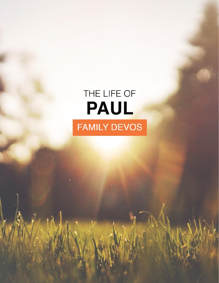# THE LIFE OF PAUL **FAMILY DEVOS**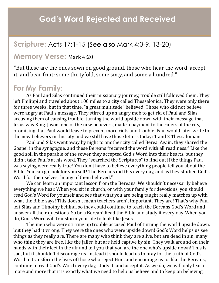## **God's Word Rejected and Received**

#### **Scripture:** Acts 17:1-15 (See also Mark 4:3-9, 13-20)

#### **Memory Verse:** Mark 4:20

"But these are the ones sown on good ground, those who hear the word, accept it, and bear fruit: some thirtyfold, some sixty, and some a hundred."

#### **For My Family:**

As Paul and Silas continued their missionary journey, trouble still followed them. They left Philippi and traveled about 100 miles to a city called Thessalonica. They were only there for three weeks, but in that time, "a great multitude" believed. Those who did not believe were angry at Paul's message. They stirred up an angry mob to get rid of Paul and Silas, accusing them of causing trouble, turning the world upside down with their message that Jesus was King. Jason, one of the new believers, made a payment to the rulers of the city, promising that Paul would leave to prevent more riots and trouble. Paul would later write to the new believers in this city and we still have those letters today: 1 and 2 Thessalonians.

Paul and Silas went away by night to another city called Berea. Again, they shared the Gospel in the synagogue, and these Bereans "received the word with all readiness." Like the good soil in the parable of the sower, they accepted God's Word into their hearts, but they didn't take Paul's at his word. They "searched the Scriptures" to find out if the things Paul was saying were really true! You don't have to believe everything people tell you about the Bible. You can go look for yourself! The Bereans did this every day, and as they studied God's Word for themselves, "many of them believed."

We can learn an important lesson from the Bereans. We shouldn't necessarily believe everything we hear. When you sit in church, or with your family for devotions, you should read God's Word for yourself and see that what you are being taught really matches up with what the Bible says! This doesn't mean teachers aren't important. They are! That's why Paul left Silas and Timothy behind, so they could continue to teach the Bereans God's Word and answer all their questions. So be a Berean! Read the Bible and study it every day. When you do, God's Word will transform your life to look like Jesus.

The men who were stirring up trouble accused Paul of turning the world upside down, but they had it wrong. They were the ones who were upside down! God's Word helps us see things as they really are. There are many who think they are alive, but are dead in sin, many who think they are free, like the jailer, but are held captive by sin. They walk around on their hands with their feet in the air and tell you that you are the one who's upside down! This is sad, but it shouldn't discourage us. Instead it should lead us to pray for the truth of God's Word to transform the lives of those who reject Him, and encourage us to, like the Bereans, continue to read God's Word every day, study it, and accept it. As we do, we will only learn more and more that it is exactly what we need to help us believe and to keep on believing.